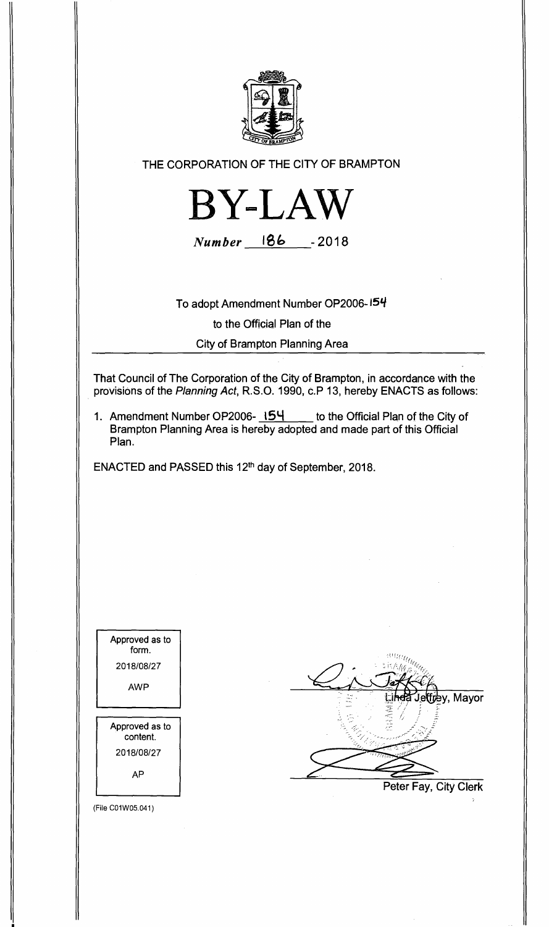

**THE CORPORATION OF THE CITY OF BRAMPTON** 



**Number le& -2018** 

**To adopt Amendment Number OP2006-154 to the Official Plan of the City of Brampton Planning Area** 

**That Council of The Corporation of the City of Brampton, in accordance with the provisions of the Planning Act, R.S.O. 1990, c.P 13, hereby ENACTS as follows:** 

**1. Amendment Number OP2006- 15'4 to the Official Plan of the City of Brampton Planning Area is hereby adopted and made part of this Official Plan.** 

ENACTED and PASSED this 12<sup>th</sup> day of September, 2018.

Approved as to form. 2018/08/27 AWP Approved as to content. 2018/08/27 AP

(File CO1W05.041)



**Peter Fay, City Clerk**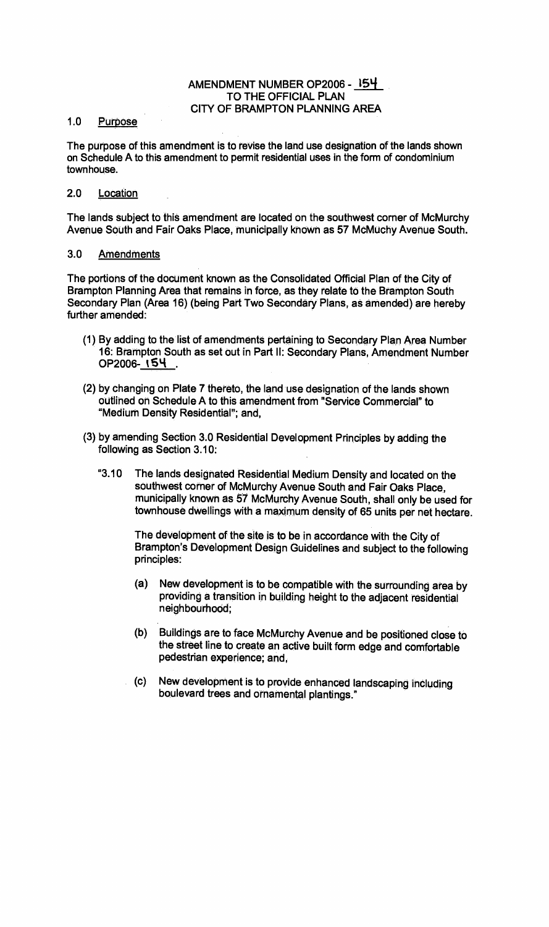## **AMENDMENT NUMBER OP2006 -** isq **TO THE OFFICIAL PLAN CITY OF BRAMPTON PLANNING AREA**

## **1.0 Purpose**

**The purpose of this amendment is to revise the land use designation of the lands shown on Schedule A to this amendment to permit residential uses in the form of condominium townhouse.** 

## **2.0 Location**

**The lands subject to this amendment are located on the southwest corner of McMurchy Avenue South and Fair Oaks Place, municipally known as 57 McMuchy Avenue South.** 

## **3.0 Amendments**

**The portions of the document known as the Consolidated Official Plan of the City of Brampton Planning Area that remains in force, as they relate to the Brampton South Secondary Plan (Area 16) (being Part Two Secondary Plans, as amended) are hereby further amended:** 

- **(1) By adding to the list of amendments pertaining to Secondary Plan Area Number 16 Brampton South as set out in Part II: Secondary Plans, Amendment Number OP2006- 154 .**
- **(2) by changing on Plate 7 thereto, the land use designation of the lands shown outlined on Schedule A to this amendment from "Service Commercial" to "Medium Density Residential"; and,**
- **(3) by amending Section 3.0 Residential Development Principles by adding the following as Section 3.10:** 
	- **"3.10 The lands designated Residential Medium Density and located on the southwest corner of McMurchy Avenue South and Fair Oaks Place, municipally known as 57 McMurchy Avenue South, shall only be used for townhouse dwellings with a maximum density of 65 units per net hectare.**

**The development of the site is to be in accordance with the City of Brampton's Development Design Guidelines and subject to the following principles:** 

- **(a) New development is to be compatible with the surrounding area by providing a transition in building height to the adjacent residential neighbourhood;**
- **(b) Buildings are to face McMurchy Avenue and be positioned close to the street line to create an active built form edge and comfortable pedestrian experience; and,**
- **(c) New development is to provide enhanced landscaping including boulevard trees and ornamental plantings."**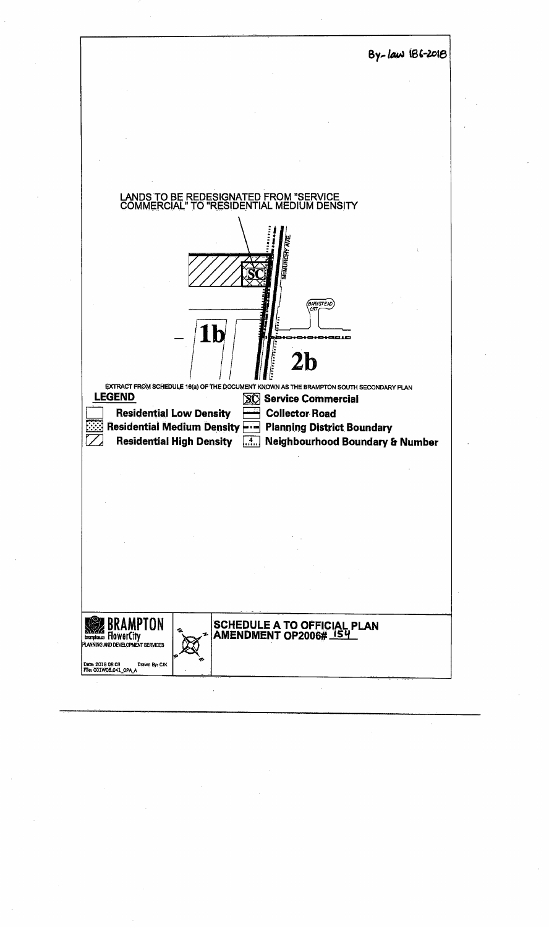